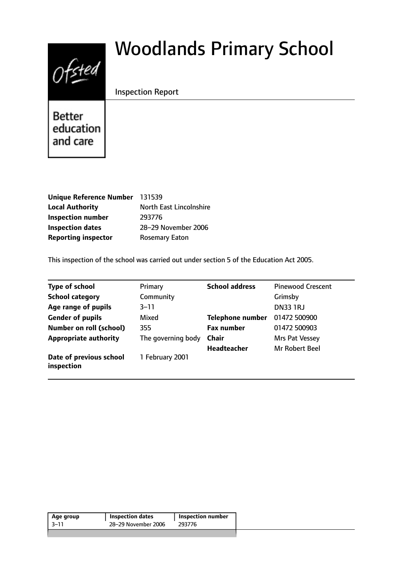# $0$ fsted

# Woodlands Primary School

# Inspection Report

**Better** education and care

| Unique Reference Number 131539 |                         |
|--------------------------------|-------------------------|
| <b>Local Authority</b>         | North East Lincolnshire |
| <b>Inspection number</b>       | 293776                  |
| <b>Inspection dates</b>        | 28-29 November 2006     |
| <b>Reporting inspector</b>     | <b>Rosemary Eaton</b>   |

This inspection of the school was carried out under section 5 of the Education Act 2005.

| <b>Type of school</b>                 | Primary            | <b>School address</b>   | <b>Pinewood Crescent</b> |
|---------------------------------------|--------------------|-------------------------|--------------------------|
| <b>School category</b>                | Community          |                         | Grimsby                  |
| Age range of pupils                   | $3 - 11$           |                         | <b>DN33 1RJ</b>          |
| <b>Gender of pupils</b>               | Mixed              | <b>Telephone number</b> | 01472 500900             |
| <b>Number on roll (school)</b>        | 355                | <b>Fax number</b>       | 01472 500903             |
| <b>Appropriate authority</b>          | The governing body | <b>Chair</b>            | Mrs Pat Vessey           |
|                                       |                    | Headteacher             | <b>Mr Robert Beel</b>    |
| Date of previous school<br>inspection | 1 February 2001    |                         |                          |

| Age group | <b>Inspection dates</b> | <b>Inspection number</b> |
|-----------|-------------------------|--------------------------|
| 3–11      | 28-29 November 2006     | 293776                   |
|           |                         |                          |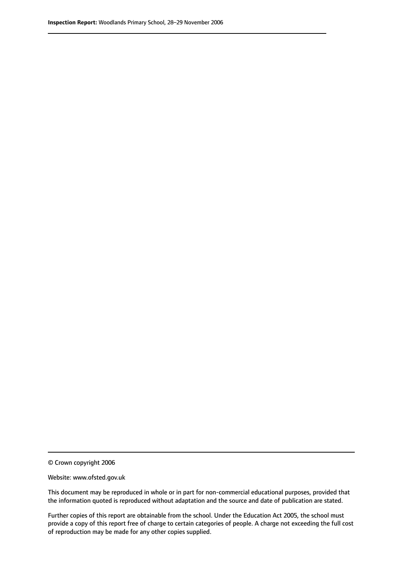© Crown copyright 2006

Website: www.ofsted.gov.uk

This document may be reproduced in whole or in part for non-commercial educational purposes, provided that the information quoted is reproduced without adaptation and the source and date of publication are stated.

Further copies of this report are obtainable from the school. Under the Education Act 2005, the school must provide a copy of this report free of charge to certain categories of people. A charge not exceeding the full cost of reproduction may be made for any other copies supplied.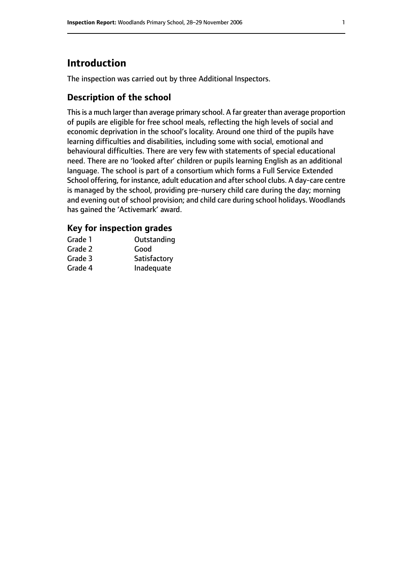# **Introduction**

The inspection was carried out by three Additional Inspectors.

# **Description of the school**

This is a much larger than average primary school. A far greater than average proportion of pupils are eligible for free school meals, reflecting the high levels of social and economic deprivation in the school's locality. Around one third of the pupils have learning difficulties and disabilities, including some with social, emotional and behavioural difficulties. There are very few with statements of special educational need. There are no 'looked after' children or pupils learning English as an additional language. The school is part of a consortium which forms a Full Service Extended School offering, for instance, adult education and after school clubs. A day-care centre is managed by the school, providing pre-nursery child care during the day; morning and evening out of school provision; and child care during school holidays. Woodlands has gained the 'Activemark' award.

### **Key for inspection grades**

| Grade 1 | Outstanding  |
|---------|--------------|
| Grade 2 | Good         |
| Grade 3 | Satisfactory |
| Grade 4 | Inadequate   |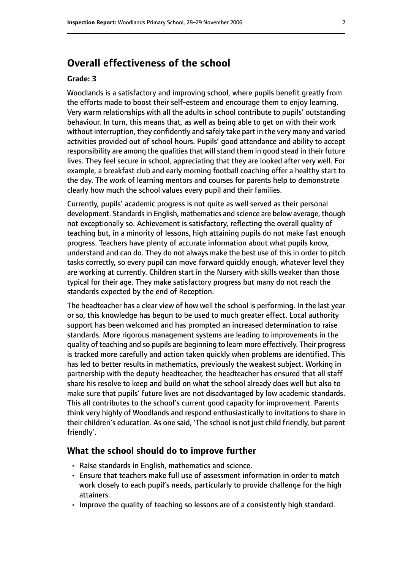# **Overall effectiveness of the school**

#### **Grade: 3**

Woodlands is a satisfactory and improving school, where pupils benefit greatly from the efforts made to boost their self-esteem and encourage them to enjoy learning. Very warm relationships with all the adults in school contribute to pupils' outstanding behaviour. In turn, this means that, as well as being able to get on with their work without interruption, they confidently and safely take part in the very many and varied activities provided out of school hours. Pupils' good attendance and ability to accept responsibility are among the qualities that will stand them in good stead in their future lives. They feel secure in school, appreciating that they are looked after very well. For example, a breakfast club and early morning football coaching offer a healthy start to the day. The work of learning mentors and courses for parents help to demonstrate clearly how much the school values every pupil and their families.

Currently, pupils' academic progress is not quite as well served as their personal development. Standards in English, mathematics and science are below average, though not exceptionally so. Achievement is satisfactory, reflecting the overall quality of teaching but, in a minority of lessons, high attaining pupils do not make fast enough progress. Teachers have plenty of accurate information about what pupils know, understand and can do. They do not always make the best use of this in order to pitch tasks correctly, so every pupil can move forward quickly enough, whatever level they are working at currently. Children start in the Nursery with skills weaker than those typical for their age. They make satisfactory progress but many do not reach the standards expected by the end of Reception.

The headteacher has a clear view of how well the school is performing. In the last year or so, this knowledge has begun to be used to much greater effect. Local authority support has been welcomed and has prompted an increased determination to raise standards. More rigorous management systems are leading to improvements in the quality of teaching and so pupils are beginning to learn more effectively. Their progress is tracked more carefully and action taken quickly when problems are identified. This has led to better results in mathematics, previously the weakest subject. Working in partnership with the deputy headteacher, the headteacher has ensured that all staff share his resolve to keep and build on what the school already does well but also to make sure that pupils' future lives are not disadvantaged by low academic standards. This all contributes to the school's current good capacity for improvement. Parents think very highly of Woodlands and respond enthusiastically to invitations to share in their children's education. As one said, 'The school is not just child friendly, but parent friendly'.

#### **What the school should do to improve further**

- Raise standards in English, mathematics and science.
- Ensure that teachers make full use of assessment information in order to match work closely to each pupil's needs, particularly to provide challenge for the high attainers.
- Improve the quality of teaching so lessons are of a consistently high standard.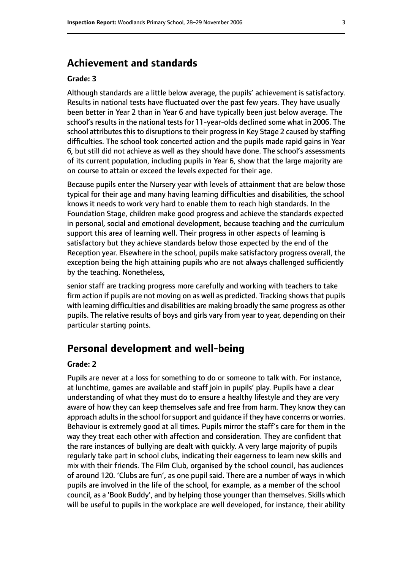# **Achievement and standards**

#### **Grade: 3**

Although standards are a little below average, the pupils' achievement is satisfactory. Results in national tests have fluctuated over the past few years. They have usually been better in Year 2 than in Year 6 and have typically been just below average. The school's results in the national tests for 11-year-olds declined some what in 2006. The school attributes this to disruptions to their progress in Key Stage 2 caused by staffing difficulties. The school took concerted action and the pupils made rapid gains in Year 6, but still did not achieve as well as they should have done. The school's assessments of its current population, including pupils in Year 6, show that the large majority are on course to attain or exceed the levels expected for their age.

Because pupils enter the Nursery year with levels of attainment that are below those typical for their age and many having learning difficulties and disabilities, the school knows it needs to work very hard to enable them to reach high standards. In the Foundation Stage, children make good progress and achieve the standards expected in personal, social and emotional development, because teaching and the curriculum support this area of learning well. Their progress in other aspects of learning is satisfactory but they achieve standards below those expected by the end of the Reception year. Elsewhere in the school, pupils make satisfactory progress overall, the exception being the high attaining pupils who are not always challenged sufficiently by the teaching. Nonetheless,

senior staff are tracking progress more carefully and working with teachers to take firm action if pupils are not moving on as well as predicted. Tracking shows that pupils with learning difficulties and disabilities are making broadly the same progress as other pupils. The relative results of boys and girls vary from year to year, depending on their particular starting points.

# **Personal development and well-being**

#### **Grade: 2**

Pupils are never at a loss for something to do or someone to talk with. For instance, at lunchtime, games are available and staff join in pupils' play. Pupils have a clear understanding of what they must do to ensure a healthy lifestyle and they are very aware of how they can keep themselves safe and free from harm. They know they can approach adults in the school for support and guidance if they have concerns or worries. Behaviour is extremely good at all times. Pupils mirror the staff's care for them in the way they treat each other with affection and consideration. They are confident that the rare instances of bullying are dealt with quickly. A very large majority of pupils regularly take part in school clubs, indicating their eagerness to learn new skills and mix with their friends. The Film Club, organised by the school council, has audiences of around 120. 'Clubs are fun', as one pupil said. There are a number of ways in which pupils are involved in the life of the school, for example, as a member of the school council, as a 'Book Buddy', and by helping those younger than themselves. Skills which will be useful to pupils in the workplace are well developed, for instance, their ability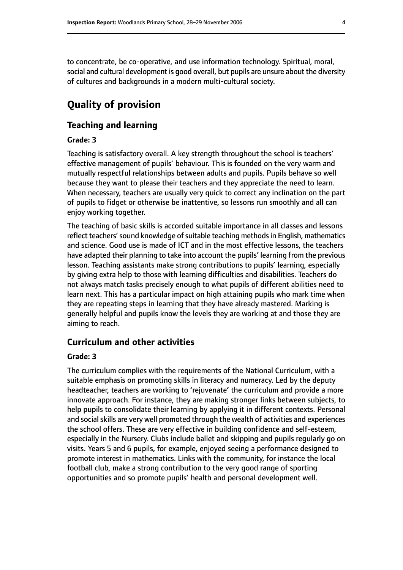to concentrate, be co-operative, and use information technology. Spiritual, moral, social and cultural development is good overall, but pupils are unsure about the diversity of cultures and backgrounds in a modern multi-cultural society.

# **Quality of provision**

#### **Teaching and learning**

#### **Grade: 3**

Teaching is satisfactory overall. A key strength throughout the school is teachers' effective management of pupils' behaviour. This is founded on the very warm and mutually respectful relationships between adults and pupils. Pupils behave so well because they want to please their teachers and they appreciate the need to learn. When necessary, teachers are usually very quick to correct any inclination on the part of pupils to fidget or otherwise be inattentive, so lessons run smoothly and all can enjoy working together.

The teaching of basic skills is accorded suitable importance in all classes and lessons reflect teachers' sound knowledge of suitable teaching methods in English, mathematics and science. Good use is made of ICT and in the most effective lessons, the teachers have adapted their planning to take into account the pupils' learning from the previous lesson. Teaching assistants make strong contributions to pupils' learning, especially by giving extra help to those with learning difficulties and disabilities. Teachers do not always match tasks precisely enough to what pupils of different abilities need to learn next. This has a particular impact on high attaining pupils who mark time when they are repeating steps in learning that they have already mastered. Marking is generally helpful and pupils know the levels they are working at and those they are aiming to reach.

#### **Curriculum and other activities**

#### **Grade: 3**

The curriculum complies with the requirements of the National Curriculum, with a suitable emphasis on promoting skills in literacy and numeracy. Led by the deputy headteacher, teachers are working to 'rejuvenate' the curriculum and provide a more innovate approach. For instance, they are making stronger links between subjects, to help pupils to consolidate their learning by applying it in different contexts. Personal and social skills are very well promoted through the wealth of activities and experiences the school offers. These are very effective in building confidence and self-esteem, especially in the Nursery. Clubs include ballet and skipping and pupils regularly go on visits. Years 5 and 6 pupils, for example, enjoyed seeing a performance designed to promote interest in mathematics. Links with the community, for instance the local football club, make a strong contribution to the very good range of sporting opportunities and so promote pupils' health and personal development well.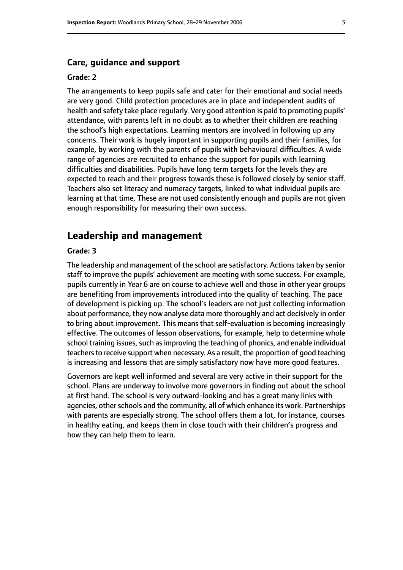#### **Care, guidance and support**

#### **Grade: 2**

The arrangements to keep pupils safe and cater for their emotional and social needs are very good. Child protection procedures are in place and independent audits of health and safety take place regularly. Very good attention is paid to promoting pupils' attendance, with parents left in no doubt as to whether their children are reaching the school's high expectations. Learning mentors are involved in following up any concerns. Their work is hugely important in supporting pupils and their families, for example, by working with the parents of pupils with behavioural difficulties. A wide range of agencies are recruited to enhance the support for pupils with learning difficulties and disabilities. Pupils have long term targets for the levels they are expected to reach and their progress towards these is followed closely by senior staff. Teachers also set literacy and numeracy targets, linked to what individual pupils are learning at that time. These are not used consistently enough and pupils are not given enough responsibility for measuring their own success.

#### **Leadership and management**

#### **Grade: 3**

The leadership and management of the school are satisfactory. Actions taken by senior staff to improve the pupils' achievement are meeting with some success. For example, pupils currently in Year 6 are on course to achieve well and those in other year groups are benefiting from improvements introduced into the quality of teaching. The pace of development is picking up. The school's leaders are not just collecting information about performance, they now analyse data more thoroughly and act decisively in order to bring about improvement. This means that self-evaluation is becoming increasingly effective. The outcomes of lesson observations, for example, help to determine whole school training issues, such as improving the teaching of phonics, and enable individual teachers to receive support when necessary. As a result, the proportion of good teaching is increasing and lessons that are simply satisfactory now have more good features.

Governors are kept well informed and several are very active in their support for the school. Plans are underway to involve more governors in finding out about the school at first hand. The school is very outward-looking and has a great many links with agencies, other schools and the community, all of which enhance its work. Partnerships with parents are especially strong. The school offers them a lot, for instance, courses in healthy eating, and keeps them in close touch with their children's progress and how they can help them to learn.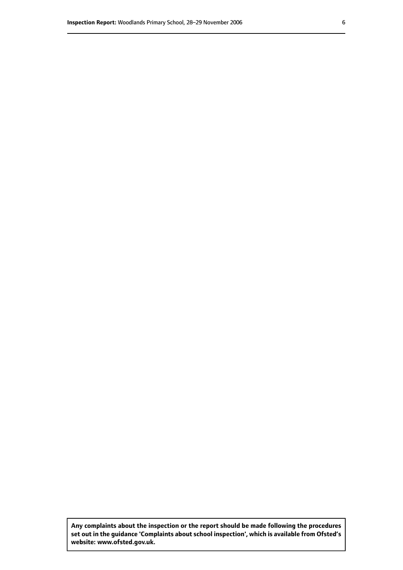**Any complaints about the inspection or the report should be made following the procedures set out inthe guidance 'Complaints about school inspection', whichis available from Ofsted's website: www.ofsted.gov.uk.**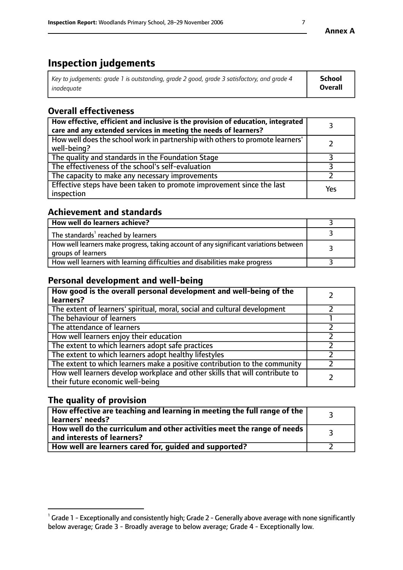# **Inspection judgements**

| Key to judgements: grade 1 is outstanding, grade 2 good, grade 3 satisfactory, and grade 4 | School         |
|--------------------------------------------------------------------------------------------|----------------|
| inadeauate                                                                                 | <b>Overall</b> |

# **Overall effectiveness**

| How effective, efficient and inclusive is the provision of education, integrated<br>care and any extended services in meeting the needs of learners? |     |
|------------------------------------------------------------------------------------------------------------------------------------------------------|-----|
| How well does the school work in partnership with others to promote learners'<br>well-being?                                                         |     |
| The quality and standards in the Foundation Stage                                                                                                    |     |
| The effectiveness of the school's self-evaluation                                                                                                    |     |
| The capacity to make any necessary improvements                                                                                                      |     |
| Effective steps have been taken to promote improvement since the last<br>inspection                                                                  | Yes |

## **Achievement and standards**

| How well do learners achieve?                                                                               |  |
|-------------------------------------------------------------------------------------------------------------|--|
| The standards <sup>1</sup> reached by learners                                                              |  |
| How well learners make progress, taking account of any significant variations between<br>groups of learners |  |
| How well learners with learning difficulties and disabilities make progress                                 |  |

# **Personal development and well-being**

| How good is the overall personal development and well-being of the<br>learners?                                  |  |
|------------------------------------------------------------------------------------------------------------------|--|
| The extent of learners' spiritual, moral, social and cultural development                                        |  |
| The behaviour of learners                                                                                        |  |
| The attendance of learners                                                                                       |  |
| How well learners enjoy their education                                                                          |  |
| The extent to which learners adopt safe practices                                                                |  |
| The extent to which learners adopt healthy lifestyles                                                            |  |
| The extent to which learners make a positive contribution to the community                                       |  |
| How well learners develop workplace and other skills that will contribute to<br>their future economic well-being |  |

# **The quality of provision**

| How effective are teaching and learning in meeting the full range of the<br>learners' needs?          |  |
|-------------------------------------------------------------------------------------------------------|--|
| How well do the curriculum and other activities meet the range of needs<br>and interests of learners? |  |
| How well are learners cared for, guided and supported?                                                |  |

 $^1$  Grade 1 - Exceptionally and consistently high; Grade 2 - Generally above average with none significantly below average; Grade 3 - Broadly average to below average; Grade 4 - Exceptionally low.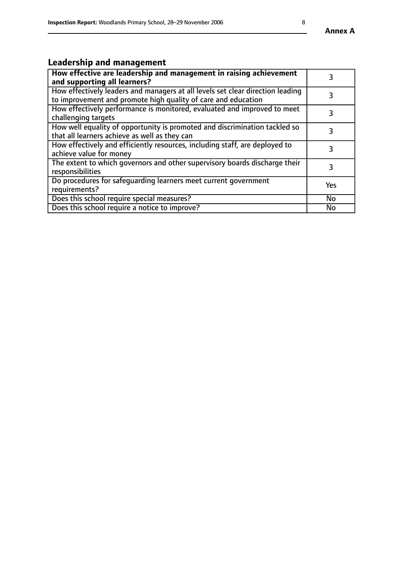# **Leadership and management**

| How effective are leadership and management in raising achievement<br>and supporting all learners?                                              |           |
|-------------------------------------------------------------------------------------------------------------------------------------------------|-----------|
| How effectively leaders and managers at all levels set clear direction leading<br>to improvement and promote high quality of care and education |           |
| How effectively performance is monitored, evaluated and improved to meet<br>challenging targets                                                 | 3         |
| How well equality of opportunity is promoted and discrimination tackled so<br>that all learners achieve as well as they can                     |           |
| How effectively and efficiently resources, including staff, are deployed to<br>achieve value for money                                          | 3         |
| The extent to which governors and other supervisory boards discharge their<br>responsibilities                                                  | 3         |
| Do procedures for safequarding learners meet current government<br>requirements?                                                                | Yes       |
| Does this school require special measures?                                                                                                      | No        |
| Does this school require a notice to improve?                                                                                                   | <b>No</b> |